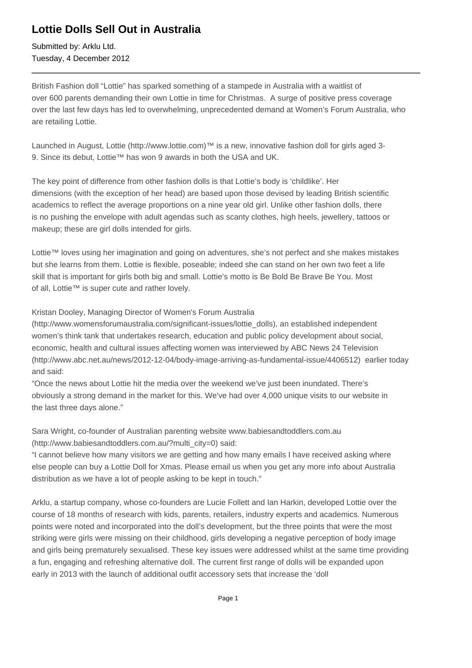# **Lottie Dolls Sell Out in Australia**

Submitted by: Arklu Ltd. Tuesday, 4 December 2012

British Fashion doll "Lottie" has sparked something of a stampede in Australia with a waitlist of over 600 parents demanding their own Lottie in time for Christmas. A surge of positive press coverage over the last few days has led to overwhelming, unprecedented demand at Women's Forum Australia, who are retailing Lottie.

Launched in August, Lottie (http://www.lottie.com)<sup>™</sup> is a new, innovative fashion doll for girls aged 3-9. Since its debut, Lottie™ has won 9 awards in both the USA and UK.

The key point of difference from other fashion dolls is that Lottie's body is 'childlike'. Her dimensions (with the exception of her head) are based upon those devised by leading British scientific academics to reflect the average proportions on a nine year old girl. Unlike other fashion dolls, there is no pushing the envelope with adult agendas such as scanty clothes, high heels, jewellery, tattoos or makeup; these are girl dolls intended for girls.

Lottie™ loves using her imagination and going on adventures, she's not perfect and she makes mistakes but she learns from them. Lottie is flexible, poseable; indeed she can stand on her own two feet a life skill that is important for girls both big and small. Lottie's motto is Be Bold Be Brave Be You. Most of all, Lottie™ is super cute and rather lovely.

# Kristan Dooley, Managing Director of Women's Forum Australia

(http://www.womensforumaustralia.com/significant-issues/lottie\_dolls), an established independent women's think tank that undertakes research, education and public policy development about social, economic, health and cultural issues affecting women was interviewed by ABC News 24 Television (http://www.abc.net.au/news/2012-12-04/body-image-arriving-as-fundamental-issue/4406512) earlier today and said:

"Once the news about Lottie hit the media over the weekend we've just been inundated. There's obviously a strong demand in the market for this. We've had over 4,000 unique visits to our website in the last three days alone."

Sara Wright, co-founder of Australian parenting website www.babiesandtoddlers.com.au (http://www.babiesandtoddlers.com.au/?multi\_city=0) said:

"I cannot believe how many visitors we are getting and how many emails I have received asking where else people can buy a Lottie Doll for Xmas. Please email us when you get any more info about Australia distribution as we have a lot of people asking to be kept in touch."

Arklu, a startup company, whose co-founders are Lucie Follett and Ian Harkin, developed Lottie over the course of 18 months of research with kids, parents, retailers, industry experts and academics. Numerous points were noted and incorporated into the doll's development, but the three points that were the most striking were girls were missing on their childhood, girls developing a negative perception of body image and girls being prematurely sexualised. These key issues were addressed whilst at the same time providing a fun, engaging and refreshing alternative doll. The current first range of dolls will be expanded upon early in 2013 with the launch of additional outfit accessory sets that increase the 'doll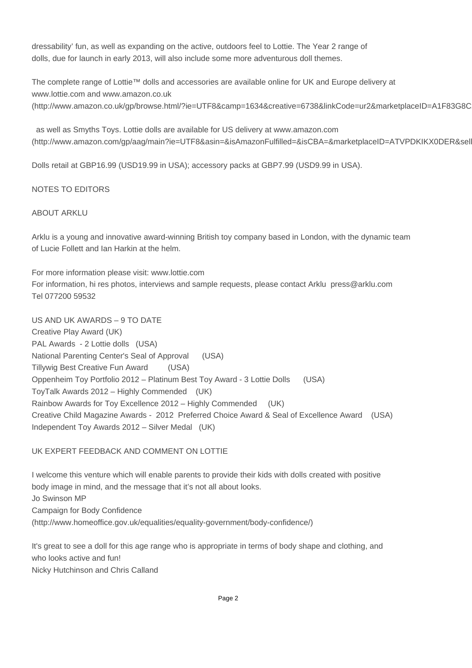dressability' fun, as well as expanding on the active, outdoors feel to Lottie. The Year 2 range of dolls, due for launch in early 2013, will also include some more adventurous doll themes.

The complete range of Lottie™ dolls and accessories are available online for UK and Europe delivery at www.lottie.com and www.amazon.co.uk (http://www.amazon.co.uk/gp/browse.html/?ie=UTF8&camp=1634&creative=6738&linkCode=ur2&marketplaceID=A1F83G8C

 as well as Smyths Toys. Lottie dolls are available for US delivery at www.amazon.com (http://www.amazon.com/gp/aag/main?ie=UTF8&asin=&isAmazonFulfilled=&isCBA=&marketplaceID=ATVPDKIKX0DER&sell

Dolls retail at GBP16.99 (USD19.99 in USA); accessory packs at GBP7.99 (USD9.99 in USA).

# NOTES TO EDITORS

#### ABOUT ARKLU

Arklu is a young and innovative award-winning British toy company based in London, with the dynamic team of Lucie Follett and Ian Harkin at the helm.

For more information please visit: www.lottie.com For information, hi res photos, interviews and sample requests, please contact Arklu press@arklu.com Tel 077200 59532

US AND UK AWARDS – 9 TO DATE Creative Play Award (UK) PAL Awards - 2 Lottie dolls (USA) National Parenting Center's Seal of Approval (USA) Tillywig Best Creative Fun Award (USA) Oppenheim Toy Portfolio 2012 – Platinum Best Toy Award - 3 Lottie Dolls (USA) ToyTalk Awards 2012 – Highly Commended (UK) Rainbow Awards for Toy Excellence 2012 – Highly Commended (UK) Creative Child Magazine Awards - 2012 Preferred Choice Award & Seal of Excellence Award (USA) Independent Toy Awards 2012 – Silver Medal (UK)

# UK EXPERT FEEDBACK AND COMMENT ON LOTTIE

I welcome this venture which will enable parents to provide their kids with dolls created with positive body image in mind, and the message that it's not all about looks. Jo Swinson MP Campaign for Body Confidence (http://www.homeoffice.gov.uk/equalities/equality-government/body-confidence/)

It's great to see a doll for this age range who is appropriate in terms of body shape and clothing, and who looks active and fun! Nicky Hutchinson and Chris Calland